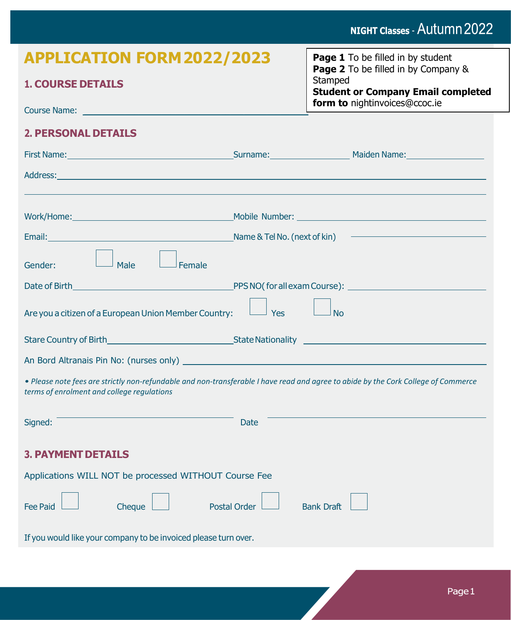# NIGHT Classes - Autumn 2022

| <b>APPLICATION FORM 2022/2023</b>                                                                                                                                                |                     | <b>Page 1</b> To be filled in by student                                                                                            |  |
|----------------------------------------------------------------------------------------------------------------------------------------------------------------------------------|---------------------|-------------------------------------------------------------------------------------------------------------------------------------|--|
| <b>1. COURSE DETAILS</b>                                                                                                                                                         |                     | <b>Page 2</b> To be filled in by Company &<br>Stamped<br><b>Student or Company Email completed</b><br>form to nightinvoices@ccoc.ie |  |
|                                                                                                                                                                                  |                     |                                                                                                                                     |  |
| <b>2. PERSONAL DETAILS</b>                                                                                                                                                       |                     |                                                                                                                                     |  |
| First Name: Manner Manner Manner Manner Manner Manner Manner Manner Manner Manner Manner Manner Manner Manner                                                                    |                     |                                                                                                                                     |  |
|                                                                                                                                                                                  |                     |                                                                                                                                     |  |
| Work/Home: Mobile Number: Mobile Number: 2008 2010 12:00:00 00:00 00:00 00:00 00:00 00:00 00:00 00:00 00:00 00                                                                   |                     |                                                                                                                                     |  |
|                                                                                                                                                                                  |                     |                                                                                                                                     |  |
| J Male<br>Female<br>Gender:                                                                                                                                                      |                     |                                                                                                                                     |  |
|                                                                                                                                                                                  |                     |                                                                                                                                     |  |
| Are you a citizen of a European Union Member Country:                                                                                                                            | <sup>J</sup> Yes    | No                                                                                                                                  |  |
|                                                                                                                                                                                  |                     |                                                                                                                                     |  |
|                                                                                                                                                                                  |                     |                                                                                                                                     |  |
| . Please note fees are strictly non-refundable and non-transferable I have read and agree to abide by the Cork College of Commerce<br>terms of enrolment and college regulations |                     |                                                                                                                                     |  |
| Signed:                                                                                                                                                                          | <b>Date</b>         |                                                                                                                                     |  |
| <b>3. PAYMENT DETAILS</b>                                                                                                                                                        |                     |                                                                                                                                     |  |
| Applications WILL NOT be processed WITHOUT Course Fee                                                                                                                            |                     |                                                                                                                                     |  |
| <b>Fee Paid</b><br>Cheque                                                                                                                                                        | <b>Postal Order</b> | <b>Bank Draft</b>                                                                                                                   |  |
| If you would like your company to be invoiced please turn over.                                                                                                                  |                     |                                                                                                                                     |  |